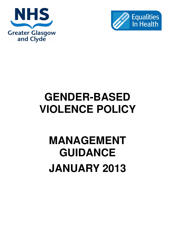



## **GENDER-BASED VIOLENCE POLICY**

# **MANAGEMENT GUIDANCE JANUARY 2013**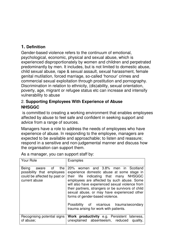### **1. Definition**

Gender-based violence refers to the continuum of emotional, psychological, economic, physical and sexual abuse, which is experienced disproportionately by women and children and perpetrated predominantly by men. It includes, but is not limited to domestic abuse, child sexual abuse, rape & sexual assault, sexual harassment, female genital mutilation, forced marriage, so-called 'honour' crimes and commercial sexual exploitation through prostitution and pornography. Discrimination in relation to ethnicity, (dis)ability, sexual orientation, poverty, age, migrant or refugee status etc can increase and intensify vulnerability to abuse

#### 2. **Supporting Employees With Experience of Abuse NHSGGC**

 is committed to creating a working environment that enables employees affected by abuse to feel safe and confident in seeking support and advice from a range of sources.

Managers have a role to address the needs of employees who have experience of abuse. In responding to the employee, managers are expected to be available and approachable; to listen and reassure; respond in a sensitive and non-judgemental manner and discuss how the organisation can support them.

| Your Role                                                                                                  | Examples                                                                                                                                                                                                                                                                                                                                                                                                                                                   |
|------------------------------------------------------------------------------------------------------------|------------------------------------------------------------------------------------------------------------------------------------------------------------------------------------------------------------------------------------------------------------------------------------------------------------------------------------------------------------------------------------------------------------------------------------------------------------|
| Being<br>the<br>of<br>aware<br>possibility that employees<br>could be affected by past or<br>current abuse | 20% women and 3.8% men in Scotland<br>experience domestic abuse at some stage in<br>their life indicating that many NHSGGC<br>employees are affected by such abuse. Some<br>will also have experienced sexual violence from<br>their partners, strangers or be survivors of child<br>sexual abuse, or may have experienced other<br>forms of gender-based violence.<br>Possibility of vicarious trauma/secondary<br>trauma arising for work with patients. |
| Recognising potential signs<br>of abuse;                                                                   | Work productivity e.g. Persistent lateness,<br>unexplained absenteeism, reduced<br>quality,                                                                                                                                                                                                                                                                                                                                                                |

As a manager, you can support staff by: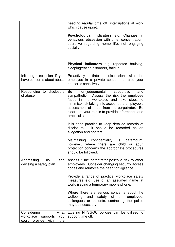|                                                                                 | needing regular time off, interruptions at work<br>which cause upset.                                                                                                                                                                                                                                              |
|---------------------------------------------------------------------------------|--------------------------------------------------------------------------------------------------------------------------------------------------------------------------------------------------------------------------------------------------------------------------------------------------------------------|
|                                                                                 | <b>Psychological Indicators</b> e.g. Changes in<br>behaviour, obsession with time, concentration,<br>secretive regarding home life, not engaging<br>socially.                                                                                                                                                      |
|                                                                                 | <b>Physical Indicators</b> e.g. repeated bruising,<br>sleeping/eating disorders, fatigue.                                                                                                                                                                                                                          |
| Initiating discussion if you<br>have concerns about abuse                       | Proactively initiate a discussion with<br>the<br>employee in a private space and raise your<br>concerns sensitively.                                                                                                                                                                                               |
| Responding to disclosure<br>of abuse                                            | Be<br>non-judgemental, supportive<br>and<br>sympathetic. Assess the risk the employee<br>faces in the workplace and take steps to<br>minimise risk taking into account the employee's<br>assessment of threat from the perpetrator. Be<br>clear that your role is to provide information and<br>practical support. |
|                                                                                 | It is good practice to keep detailed records of<br>disclosure - it should be recorded as an<br>allegation and not fact.                                                                                                                                                                                            |
|                                                                                 | Maintaining confidentiality is paramount,<br>however, where there are<br>child or<br>adult<br>protection concerns the appropriate procedures<br>should be followed.                                                                                                                                                |
| Addressing<br>risk<br>and<br>devising a safety plan                             | Assess if the perpetrator poses a risk to other<br>employees. Consider changing security access<br>codes and reinforce the need for vigilance.                                                                                                                                                                     |
|                                                                                 | Provide a range of practical workplace safety<br>measures e.g. use of an assumed name at<br>work, issuing a temporary mobile phone.                                                                                                                                                                                |
|                                                                                 | Where there are serious concerns about the<br>wellbeing and safety of<br>employee,<br>an<br>colleagues or patients, contacting the police<br>may be necessary.                                                                                                                                                     |
| Considering<br>what<br>workplace<br>supports<br>you<br>could provide within the | Existing NHSGGC policies can be utilised to<br>support time off.                                                                                                                                                                                                                                                   |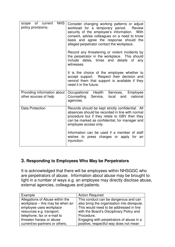| <b>NHS</b><br>scope of current<br>policy provisions; | Consider changing working patterns or adjust<br>workload for a temporary period.<br>Review<br>security of the employee's information. With<br>consent, advise colleagues on a need to know<br>basis and agree the response should the<br>alleged perpetrator contact the workplace.<br>Record any threatening or violent incidents by<br>the perpetrator in the workplace. This should<br>include dates, times and details of any<br>witnesses. |
|------------------------------------------------------|-------------------------------------------------------------------------------------------------------------------------------------------------------------------------------------------------------------------------------------------------------------------------------------------------------------------------------------------------------------------------------------------------------------------------------------------------|
|                                                      | It is the choice of the employee whether to<br>accept support. Respect their decision and<br>remind them that support is available if they<br>need it in the future.                                                                                                                                                                                                                                                                            |
| Providing information about<br>other sources of help | Occupational Health<br>Services,<br>Employee<br>Counselling<br>local<br>national<br>Service,<br>and<br>agencies.                                                                                                                                                                                                                                                                                                                                |
| <b>Data Protection</b>                               | Records should be kept strictly confidential. All<br>absences should be recorded in line with normal<br>procedure but if they relate to GBV then they<br>can be marked as confidential, for manager and<br>employee access only.                                                                                                                                                                                                                |
|                                                      | Information can be used if a member of staff<br>wishes to press charges or apply for an<br>injunction.                                                                                                                                                                                                                                                                                                                                          |

#### **3. Responding to Employees Who May be Perpetrators**

It is acknowledged that there will be employees within NHSGGC who are perpetrators of abuse. Information about abuse may be brought to light in a number of ways e.g. an employee may directly disclose abuse, external agencies, colleagues and patients.

| Example                         | <b>Action Required</b>                      |
|---------------------------------|---------------------------------------------|
| Allegations of Abuse within the | This conduct can be dangerous and can       |
| workplace - this may be when an | also bring the organisation into disrepute. |
| employee uses workplace         | This would need to be addressed in line     |
| resources e.g. transport,       | with the Board's Disciplinary Policy and    |
| telephone, fax or e-mail to     | Procedure.                                  |
| threaten harass or abuse        | Engaging with perpetrators of abuse in a    |
| current/ex-partners or others.  | positive, respectful way does not mean      |